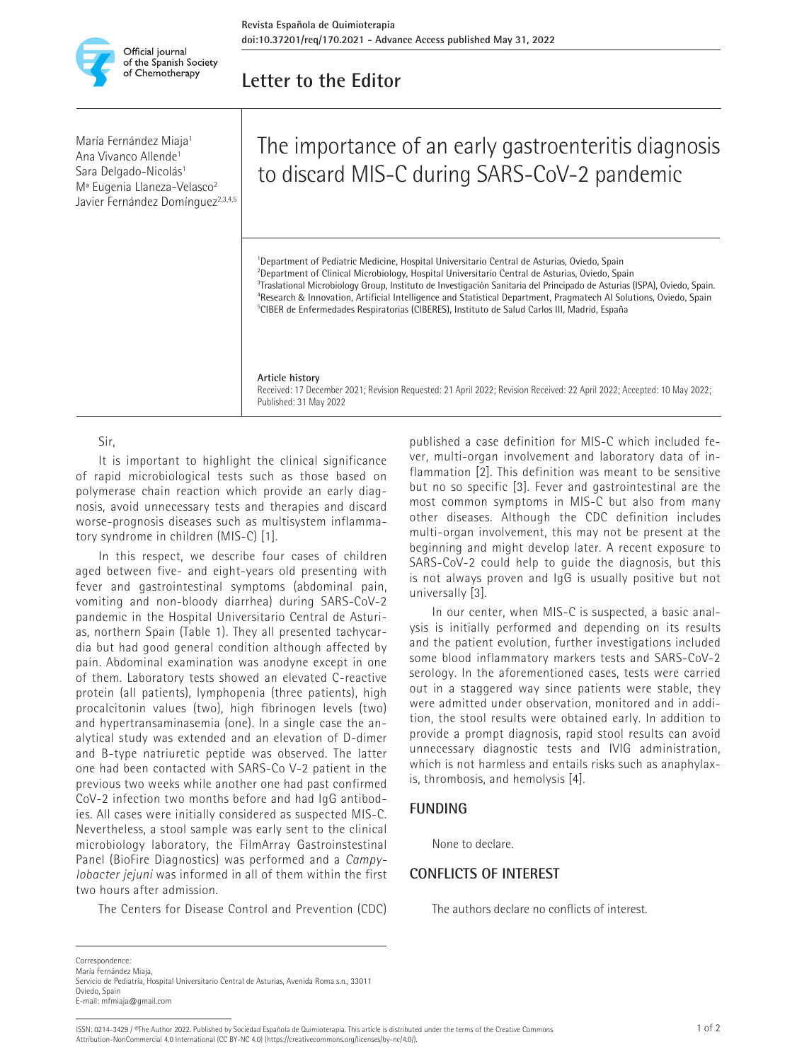

# **Letter to the Editor**

María Fernández Miaja<sup>1</sup> Ana Vivanco Allende<sup>1</sup> Sara Delgado-Nicolás<sup>1</sup> Mª Eugenia Llaneza-Velasco2 Javier Fernández Domínguez<sup>2,3,4,5</sup>

# The importance of an early gastroenteritis diagnosis to discard MIS-C during SARS-CoV-2 pandemic

<sup>1</sup>Department of Pediatric Medicine, Hospital Universitario Central de Asturias, Oviedo, Spain <sup>2</sup>Department of Clinical Microbiology, Hospital Universitario Central de Asturias, Oviedo, Spain 3 Traslational Microbiology Group, Instituto de Investigación Sanitaria del Principado de Asturias (ISPA), Oviedo, Spain. <sup>4</sup>Research & Innovation, Artificial Intelligence and Statistical Department, Pragmatech AI Solutions, Oviedo, Spain<br><sup>5</sup>CIBER de Enfermedades Respiratorias (CIBERES), Instituto de Salud Carlos III, Madrid, España <sup>5</sup>CIBER de Enfermedades Respiratorias (CIBERES), Instituto de Salud Carlos III, Madrid, España

#### **Article history**

Received: 17 December 2021; Revision Requested: 21 April 2022; Revision Received: 22 April 2022; Accepted: 10 May 2022; Published: 31 May 2022

Sir,

It is important to highlight the clinical significance of rapid microbiological tests such as those based on polymerase chain reaction which provide an early diagnosis, avoid unnecessary tests and therapies and discard worse-prognosis diseases such as multisystem inflammatory syndrome in children (MIS-C) [1].

In this respect, we describe four cases of children aged between five- and eight-years old presenting with fever and gastrointestinal symptoms (abdominal pain, vomiting and non-bloody diarrhea) during SARS-CoV-2 pandemic in the Hospital Universitario Central de Asturias, northern Spain (Table 1). They all presented tachycardia but had good general condition although affected by pain. Abdominal examination was anodyne except in one of them. Laboratory tests showed an elevated C-reactive protein (all patients), lymphopenia (three patients), high procalcitonin values (two), high fibrinogen levels (two) and hypertransaminasemia (one). In a single case the analytical study was extended and an elevation of D-dimer and B-type natriuretic peptide was observed. The latter one had been contacted with SARS-Co V-2 patient in the previous two weeks while another one had past confirmed CoV-2 infection two months before and had IgG antibodies. All cases were initially considered as suspected MIS-C. Nevertheless, a stool sample was early sent to the clinical microbiology laboratory, the FilmArray Gastroinstestinal Panel (BioFire Diagnostics) was performed and a *Campylobacter jejuni* was informed in all of them within the first two hours after admission.

The Centers for Disease Control and Prevention (CDC)

published a case definition for MIS-C which included fever, multi-organ involvement and laboratory data of inflammation [2]. This definition was meant to be sensitive but no so specific [3]. Fever and gastrointestinal are the most common symptoms in MIS-C but also from many other diseases. Although the CDC definition includes multi-organ involvement, this may not be present at the beginning and might develop later. A recent exposure to SARS-CoV-2 could help to guide the diagnosis, but this is not always proven and IgG is usually positive but not universally [3].

In our center, when MIS-C is suspected, a basic analysis is initially performed and depending on its results and the patient evolution, further investigations included some blood inflammatory markers tests and SARS-CoV-2 serology. In the aforementioned cases, tests were carried out in a staggered way since patients were stable, they were admitted under observation, monitored and in addition, the stool results were obtained early. In addition to provide a prompt diagnosis, rapid stool results can avoid unnecessary diagnostic tests and IVIG administration, which is not harmless and entails risks such as anaphylaxis, thrombosis, and hemolysis [4].

None to declare.

### **CONFLICTS OF INTEREST**

The authors declare no conflicts of interest.

**Correspondence** 

María Fernández Miaja, Servicio de Pediatría, Hospital Universitario Central de Asturias, Avenida Roma s.n., 33011

Oviedo, Spain E-mail: mfmiaja@gmail.com

**FUNDING**

ISSN: 0214-3429 / ©The Author 2022. Published by Sociedad Española de Quimioterapia. This article is distributed under the terms of the Creative Commons 1 of 2 Attribution-NonCommercial 4.0 International (CC BY-NC 4.0) (https://creativecommons.org/licenses/by-nc/4.0/).